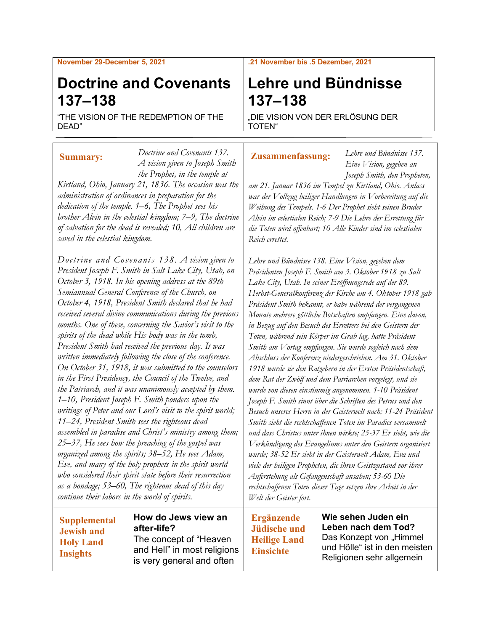#### **November 29-December 5, 2021**

# **Doctrine and Covenants 137–138**

"THE VISION OF THE REDEMPTION OF THE DEAD"

*Doctrine and Covenants 137. A vision given to Joseph Smith the Prophet, in the temple at Kirtland, Ohio, January 21, 1836. The occasion was the administration of ordinances in preparation for the dedication of the temple. 1–6, The Prophet sees his brother Alvin in the celestial kingdom; 7–9, The doctrine of salvation for the dead is revealed; 10, All children are saved in the celestial kingdom.* **Summary:**

*Doctrine and Covenants 138. A vision given to President Joseph F. Smith in Salt Lake City, Utah, on October 3, 1918. In his opening address at the 89th Semiannual General Conference of the Church, on October 4, 1918, President Smith declared that he had received several divine communications during the previous months. One of these, concerning the Savior's visit to the spirits of the dead while His body was in the tomb, President Smith had received the previous day. It was written immediately following the close of the conference. On October 31, 1918, it was submitted to the counselors in the First Presidency, the Council of the Twelve, and the Patriarch, and it was unanimously accepted by them. 1–10, President Joseph F. Smith ponders upon the writings of Peter and our Lord's visit to the spirit world; 11–24, President Smith sees the righteous dead assembled in paradise and Christ's ministry among them; 25–37, He sees how the preaching of the gospel was organized among the spirits; 38–52, He sees Adam, Eve, and many of the holy prophets in the spirit world who considered their spirit state before their resurrection as a bondage; 53–60, The righteous dead of this day continue their labors in the world of spirits.*

## **Supplemental Jewish and Holy Land Insights**

## **How do Jews view an after-life?** The concept of "Heaven and Hell" in most religions is very general and often

## *Monate mehrere göttliche Botschaften empfangen. Eine davon, in Bezug auf den Besuch des Erretters bei den Geistern der*

*Toten, während sein Körper im Grab lag, hatte Präsident Smith am Vortag empfangen. Sie wurde sogleich nach dem Abschluss der Konferenz niedergeschrieben. Am 31. Oktober 1918 wurde sie den Ratgebern in der Ersten Präsidentschaft, dem Rat der Zwölf und dem Patriarchen vorgelegt, und sie wurde von diesen einstimmig angenommen. 1-10 Präsident Joseph F. Smith sinnt über die Schriften des Petrus und den Besuch unseres Herrn in der Geisterwelt nach; 11-24 Präsident Smith sieht die rechtschaffenen Toten im Paradies versammelt und dass Christus unter ihnen wirkte; 25-37 Er sieht, wie die Verkündigung des Evangeliums unter den Geistern organisiert wurde; 38-52 Er sieht in der Geisterwelt Adam, Eva und viele der heiligen Propheten, die ihren Geistzustand vor ihrer Auferstehung als Gefangenschaft ansahen; 53-60 Die rechtschaffenen Toten dieser Tage setzen ihre Arbeit in der Welt der Geister fort.*

## **Lehre und Bündnisse 137–138**

"DIE VISION VON DER ERLÖSUNG DER TOTEN"

## **Zusammenfassung:**

*Lehre und Bündnisse 137. Eine Vision, gegeben an Joseph Smith, den Propheten,* 

*am 21. Januar 1836 im Tempel zu Kirtland, Ohio. Anlass war der Vollzug heiliger Handlungen in Vorbereitung auf die Weihung des Tempels. 1-6 Der Prophet sieht seinen Bruder Alvin im celestialen Reich; 7-9 Die Lehre der Errettung für die Toten wird offenbart; 10 Alle Kinder sind im celestialen Reich errettet.*

*Lehre und Bündnisse 138. Eine Vision, gegeben dem Präsidenten Joseph F. Smith am 3. Oktober 1918 zu Salt Lake City, Utah. In seiner Eröffnungsrede auf der 89. Herbst-Generalkonferenz der Kirche am 4. Oktober 1918 gab Präsident Smith bekannt, er habe während der vergangenen* 

**Ergänzende Jüdische und Heilige Land Einsichte**

**Wie sehen Juden ein Leben nach dem Tod?** Das Konzept von "Himmel und Hölle" ist in den meisten Religionen sehr allgemein

#### **.21 November bis .5 Dezember, 2021**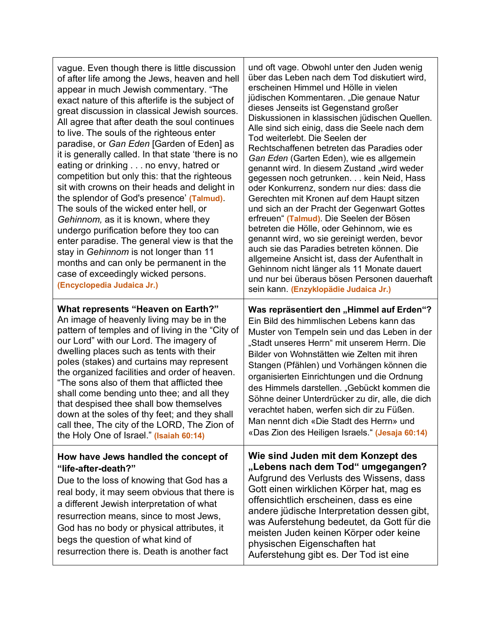| vague. Even though there is little discussion<br>of after life among the Jews, heaven and hell<br>appear in much Jewish commentary. "The<br>exact nature of this afterlife is the subject of<br>great discussion in classical Jewish sources.<br>All agree that after death the soul continues<br>to live. The souls of the righteous enter<br>paradise, or Gan Eden [Garden of Eden] as<br>it is generally called. In that state 'there is no<br>eating or drinking no envy, hatred or<br>competition but only this: that the righteous<br>sit with crowns on their heads and delight in<br>the splendor of God's presence' (Talmud).<br>The souls of the wicked enter hell, or<br>Gehinnom, as it is known, where they<br>undergo purification before they too can<br>enter paradise. The general view is that the<br>stay in Gehinnom is not longer than 11<br>months and can only be permanent in the<br>case of exceedingly wicked persons.<br>(Encyclopedia Judaica Jr.) | und oft vage. Obwohl unter den Juden wenig<br>über das Leben nach dem Tod diskutiert wird,<br>erscheinen Himmel und Hölle in vielen<br>jüdischen Kommentaren. "Die genaue Natur<br>dieses Jenseits ist Gegenstand großer<br>Diskussionen in klassischen jüdischen Quellen.<br>Alle sind sich einig, dass die Seele nach dem<br>Tod weiterlebt. Die Seelen der<br>Rechtschaffenen betreten das Paradies oder<br>Gan Eden (Garten Eden), wie es allgemein<br>genannt wird. In diesem Zustand "wird weder<br>gegessen noch getrunken. kein Neid, Hass<br>oder Konkurrenz, sondern nur dies: dass die<br>Gerechten mit Kronen auf dem Haupt sitzen<br>und sich an der Pracht der Gegenwart Gottes<br>erfreuen" (Talmud). Die Seelen der Bösen<br>betreten die Hölle, oder Gehinnom, wie es<br>genannt wird, wo sie gereinigt werden, bevor<br>auch sie das Paradies betreten können. Die<br>allgemeine Ansicht ist, dass der Aufenthalt in<br>Gehinnom nicht länger als 11 Monate dauert<br>und nur bei überaus bösen Personen dauerhaft<br>sein kann. (Enzyklopädie Judaica Jr.) |
|--------------------------------------------------------------------------------------------------------------------------------------------------------------------------------------------------------------------------------------------------------------------------------------------------------------------------------------------------------------------------------------------------------------------------------------------------------------------------------------------------------------------------------------------------------------------------------------------------------------------------------------------------------------------------------------------------------------------------------------------------------------------------------------------------------------------------------------------------------------------------------------------------------------------------------------------------------------------------------|-------------------------------------------------------------------------------------------------------------------------------------------------------------------------------------------------------------------------------------------------------------------------------------------------------------------------------------------------------------------------------------------------------------------------------------------------------------------------------------------------------------------------------------------------------------------------------------------------------------------------------------------------------------------------------------------------------------------------------------------------------------------------------------------------------------------------------------------------------------------------------------------------------------------------------------------------------------------------------------------------------------------------------------------------------------------------------|
| What represents "Heaven on Earth?"<br>An image of heavenly living may be in the<br>pattern of temples and of living in the "City of<br>our Lord" with our Lord. The imagery of<br>dwelling places such as tents with their<br>poles (stakes) and curtains may represent<br>the organized facilities and order of heaven.<br>"The sons also of them that afflicted thee<br>shall come bending unto thee; and all they<br>that despised thee shall bow themselves<br>down at the soles of thy feet; and they shall<br>call thee, The city of the LORD, The Zion of<br>the Holy One of Israel." (Isaiah 60:14)                                                                                                                                                                                                                                                                                                                                                                    | Was repräsentiert den "Himmel auf Erden"?<br>Ein Bild des himmlischen Lebens kann das<br>Muster von Tempeln sein und das Leben in der<br>"Stadt unseres Herrn" mit unserem Herrn. Die<br>Bilder von Wohnstätten wie Zelten mit ihren<br>Stangen (Pfählen) und Vorhängen können die<br>organisierten Einrichtungen und die Ordnung<br>des Himmels darstellen. "Gebückt kommen die<br>Söhne deiner Unterdrücker zu dir, alle, die dich<br>verachtet haben, werfen sich dir zu Füßen.<br>Man nennt dich «Die Stadt des Herrn» und<br>«Das Zion des Heiligen Israels." (Jesaja 60:14)                                                                                                                                                                                                                                                                                                                                                                                                                                                                                             |
| How have Jews handled the concept of<br>"life-after-death?"<br>Due to the loss of knowing that God has a<br>real body, it may seem obvious that there is<br>a different Jewish interpretation of what<br>resurrection means, since to most Jews,<br>God has no body or physical attributes, it<br>begs the question of what kind of<br>resurrection there is. Death is another fact                                                                                                                                                                                                                                                                                                                                                                                                                                                                                                                                                                                            | Wie sind Juden mit dem Konzept des<br>"Lebens nach dem Tod" umgegangen?<br>Aufgrund des Verlusts des Wissens, dass<br>Gott einen wirklichen Körper hat, mag es<br>offensichtlich erscheinen, dass es eine<br>andere jüdische Interpretation dessen gibt,<br>was Auferstehung bedeutet, da Gott für die<br>meisten Juden keinen Körper oder keine<br>physischen Eigenschaften hat<br>Auferstehung gibt es. Der Tod ist eine                                                                                                                                                                                                                                                                                                                                                                                                                                                                                                                                                                                                                                                    |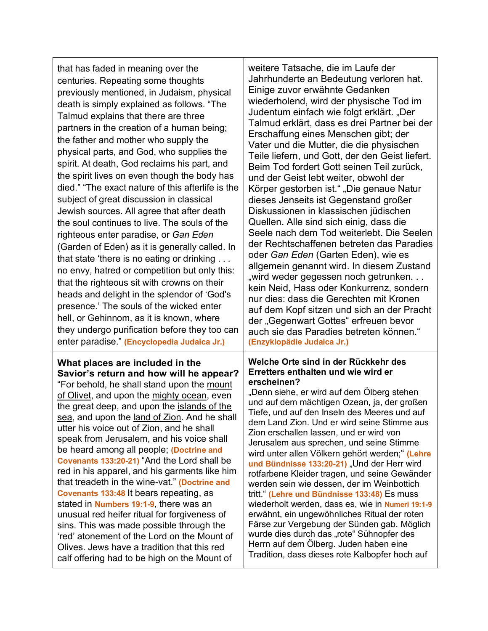| that has faded in meaning over the<br>centuries. Repeating some thoughts<br>previously mentioned, in Judaism, physical<br>death is simply explained as follows. "The<br>Talmud explains that there are three<br>partners in the creation of a human being;<br>the father and mother who supply the<br>physical parts, and God, who supplies the<br>spirit. At death, God reclaims his part, and<br>the spirit lives on even though the body has<br>died." "The exact nature of this afterlife is the<br>subject of great discussion in classical<br>Jewish sources. All agree that after death<br>the soul continues to live. The souls of the<br>righteous enter paradise, or Gan Eden<br>(Garden of Eden) as it is generally called. In<br>that state 'there is no eating or drinking<br>no envy, hatred or competition but only this:<br>that the righteous sit with crowns on their<br>heads and delight in the splendor of 'God's<br>presence.' The souls of the wicked enter<br>hell, or Gehinnom, as it is known, where<br>they undergo purification before they too can<br>enter paradise." (Encyclopedia Judaica Jr.) | weitere Tatsache, die im Laufe der<br>Jahrhunderte an Bedeutung verloren hat.<br>Einige zuvor erwähnte Gedanken<br>wiederholend, wird der physische Tod im<br>Judentum einfach wie folgt erklärt. "Der<br>Talmud erklärt, dass es drei Partner bei der<br>Erschaffung eines Menschen gibt; der<br>Vater und die Mutter, die die physischen<br>Teile liefern, und Gott, der den Geist liefert.<br>Beim Tod fordert Gott seinen Teil zurück,<br>und der Geist lebt weiter, obwohl der<br>Körper gestorben ist." "Die genaue Natur<br>dieses Jenseits ist Gegenstand großer<br>Diskussionen in klassischen jüdischen<br>Quellen. Alle sind sich einig, dass die<br>Seele nach dem Tod weiterlebt. Die Seelen<br>der Rechtschaffenen betreten das Paradies<br>oder Gan Eden (Garten Eden), wie es<br>allgemein genannt wird. In diesem Zustand<br>"wird weder gegessen noch getrunken<br>kein Neid, Hass oder Konkurrenz, sondern<br>nur dies: dass die Gerechten mit Kronen<br>auf dem Kopf sitzen und sich an der Pracht<br>der "Gegenwart Gottes" erfreuen bevor<br>auch sie das Paradies betreten können."<br>(Enzyklopädie Judaica Jr.) |
|--------------------------------------------------------------------------------------------------------------------------------------------------------------------------------------------------------------------------------------------------------------------------------------------------------------------------------------------------------------------------------------------------------------------------------------------------------------------------------------------------------------------------------------------------------------------------------------------------------------------------------------------------------------------------------------------------------------------------------------------------------------------------------------------------------------------------------------------------------------------------------------------------------------------------------------------------------------------------------------------------------------------------------------------------------------------------------------------------------------------------------|------------------------------------------------------------------------------------------------------------------------------------------------------------------------------------------------------------------------------------------------------------------------------------------------------------------------------------------------------------------------------------------------------------------------------------------------------------------------------------------------------------------------------------------------------------------------------------------------------------------------------------------------------------------------------------------------------------------------------------------------------------------------------------------------------------------------------------------------------------------------------------------------------------------------------------------------------------------------------------------------------------------------------------------------------------------------------------------------------------------------------------------|
| What places are included in the<br>Savior's return and how will he appear?<br>"For behold, he shall stand upon the mount<br>of Olivet, and upon the mighty ocean, even<br>the great deep, and upon the islands of the<br>sea, and upon the land of Zion. And he shall<br>utter his voice out of Zion, and he shall<br>speak from Jerusalem, and his voice shall<br>be heard among all people; (Doctrine and<br>Covenants 133:20-21) "And the Lord shall be<br>red in his apparel, and his garments like him<br>that treadeth in the wine-vat." (Doctrine and<br>Covenants 133:48 It bears repeating, as<br>stated in <b>Numbers 19:1-9</b> , there was an<br>unusual red heifer ritual for forgiveness of<br>sins. This was made possible through the<br>'red' atonement of the Lord on the Mount of<br>Olives. Jews have a tradition that this red<br>calf offering had to be high on the Mount of                                                                                                                                                                                                                            | Welche Orte sind in der Rückkehr des<br>Erretters enthalten und wie wird er<br>erscheinen?<br>"Denn siehe, er wird auf dem Ölberg stehen<br>und auf dem mächtigen Ozean, ja, der großen<br>Tiefe, und auf den Inseln des Meeres und auf<br>dem Land Zion. Und er wird seine Stimme aus<br>Zion erschallen lassen, und er wird von<br>Jerusalem aus sprechen, und seine Stimme<br>wird unter allen Völkern gehört werden;" (Lehre<br>und Bündnisse 133:20-21) "Und der Herr wird<br>rotfarbene Kleider tragen, und seine Gewänder<br>werden sein wie dessen, der im Weinbottich<br>tritt." (Lehre und Bündnisse 133:48) Es muss<br>wiederholt werden, dass es, wie in Numeri 19:1-9<br>erwähnt, ein ungewöhnliches Ritual der roten<br>Färse zur Vergebung der Sünden gab. Möglich<br>wurde dies durch das "rote" Sühnopfer des<br>Herrn auf dem Ölberg. Juden haben eine<br>Tradition, dass dieses rote Kalbopfer hoch auf                                                                                                                                                                                                               |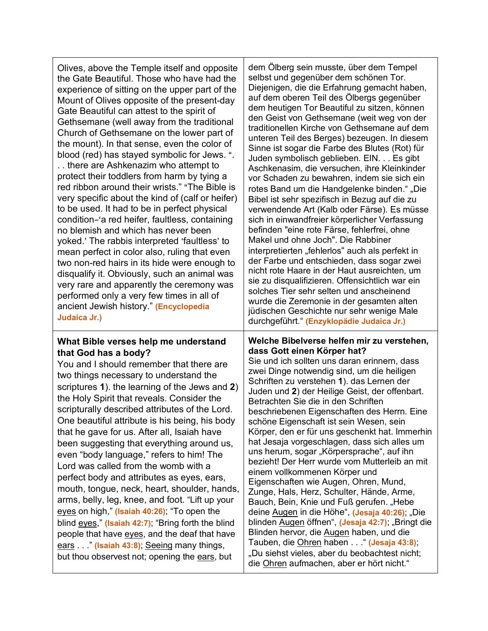| Olives, above the Temple itself and opposite<br>the Gate Beautiful. Those who have had the<br>experience of sitting on the upper part of the<br>Mount of Olives opposite of the present-day<br>Gate Beautiful can attest to the spirit of<br>Gethsemane (well away from the traditional<br>Church of Gethsemane on the lower part of<br>the mount). In that sense, even the color of<br>blood (red) has stayed symbolic for Jews. ".<br>. . there are Ashkenazim who attempt to<br>protect their toddlers from harm by tying a<br>red ribbon around their wrists." "The Bible is<br>very specific about the kind of (calf or heifer)<br>to be used. It had to be in perfect physical<br>condition-'a red heifer, faultless, containing<br>no blemish and which has never been<br>yoked.' The rabbis interpreted 'faultless' to<br>mean perfect in color also, ruling that even<br>two non-red hairs in its hide were enough to<br>disqualify it. Obviously, such an animal was<br>very rare and apparently the ceremony was<br>performed only a very few times in all of<br>ancient Jewish history." (Encyclopedia<br>Judaica Jr.) | dem Ölberg sein musste, über dem Tempel<br>selbst und gegenüber dem schönen Tor.<br>Diejenigen, die die Erfahrung gemacht haben,<br>auf dem oberen Teil des Ölbergs gegenüber<br>dem heutigen Tor Beautiful zu sitzen, können<br>den Geist von Gethsemane (weit weg von der<br>traditionellen Kirche von Gethsemane auf dem<br>unteren Teil des Berges) bezeugen. In diesem<br>Sinne ist sogar die Farbe des Blutes (Rot) für<br>Juden symbolisch geblieben. EIN. Es gibt<br>Aschkenasim, die versuchen, ihre Kleinkinder<br>vor Schaden zu bewahren, indem sie sich ein<br>rotes Band um die Handgelenke binden." "Die<br>Bibel ist sehr spezifisch in Bezug auf die zu<br>verwendende Art (Kalb oder Färse). Es müsse<br>sich in einwandfreier körperlicher Verfassung<br>befinden "eine rote Färse, fehlerfrei, ohne<br>Makel und ohne Joch". Die Rabbiner<br>interpretierten "fehlerlos" auch als perfekt in<br>der Farbe und entschieden, dass sogar zwei<br>nicht rote Haare in der Haut ausreichten, um<br>sie zu disqualifizieren. Offensichtlich war ein<br>solches Tier sehr selten und anscheinend<br>wurde die Zeremonie in der gesamten alten<br>jüdischen Geschichte nur sehr wenige Male<br>durchgeführt." (Enzyklopädie Judaica Jr.) |
|------------------------------------------------------------------------------------------------------------------------------------------------------------------------------------------------------------------------------------------------------------------------------------------------------------------------------------------------------------------------------------------------------------------------------------------------------------------------------------------------------------------------------------------------------------------------------------------------------------------------------------------------------------------------------------------------------------------------------------------------------------------------------------------------------------------------------------------------------------------------------------------------------------------------------------------------------------------------------------------------------------------------------------------------------------------------------------------------------------------------------------|------------------------------------------------------------------------------------------------------------------------------------------------------------------------------------------------------------------------------------------------------------------------------------------------------------------------------------------------------------------------------------------------------------------------------------------------------------------------------------------------------------------------------------------------------------------------------------------------------------------------------------------------------------------------------------------------------------------------------------------------------------------------------------------------------------------------------------------------------------------------------------------------------------------------------------------------------------------------------------------------------------------------------------------------------------------------------------------------------------------------------------------------------------------------------------------------------------------------------------------------------|
| What Bible verses help me understand<br>that God has a body?<br>You and I should remember that there are<br>two things necessary to understand the<br>scriptures 1). the learning of the Jews and 2)<br>the Holy Spirit that reveals. Consider the<br>scripturally described attributes of the Lord.<br>One beautiful attribute is his being, his body<br>that he gave for us. After all, Isaiah have<br>been suggesting that everything around us,<br>even "body language," refers to him! The<br>Lord was called from the womb with a<br>perfect body and attributes as eyes, ears,<br>mouth, tongue, neck, heart, shoulder, hands,<br>arms, belly, leg, knee, and foot. "Lift up your<br>eyes on high," (Isaiah 40:26); "To open the<br>blind eyes," (Isaiah 42:7); "Bring forth the blind<br>people that have eyes, and the deaf that have<br>ears " (Isaiah 43:8); Seeing many things,<br>but thou observest not; opening the ears, but                                                                                                                                                                                       | Welche Bibelverse helfen mir zu verstehen,<br>dass Gott einen Körper hat?<br>Sie und ich sollten uns daran erinnern, dass<br>zwei Dinge notwendig sind, um die heiligen<br>Schriften zu verstehen 1). das Lernen der<br>Juden und 2) der Heilige Geist, der offenbart.<br>Betrachten Sie die in den Schriften<br>beschriebenen Eigenschaften des Herrn. Eine<br>schöne Eigenschaft ist sein Wesen, sein<br>Körper, den er für uns geschenkt hat. Immerhin<br>hat Jesaja vorgeschlagen, dass sich alles um<br>uns herum, sogar "Körpersprache", auf ihn<br>bezieht! Der Herr wurde vom Mutterleib an mit<br>einem vollkommenen Körper und<br>Eigenschaften wie Augen, Ohren, Mund,<br>Zunge, Hals, Herz, Schulter, Hände, Arme,<br>Bauch, Bein, Knie und Fuß gerufen. "Hebe<br>deine Augen in die Höhe", (Jesaja 40:26); "Die<br>blinden Augen öffnen", (Jesaja 42:7); "Bringt die<br>Blinden hervor, die Augen haben, und die<br>Tauben, die Ohren haben . " (Jesaja 43:8);<br>"Du siehst vieles, aber du beobachtest nicht;<br>die Ohren aufmachen, aber er hört nicht."                                                                                                                                                                            |

Τ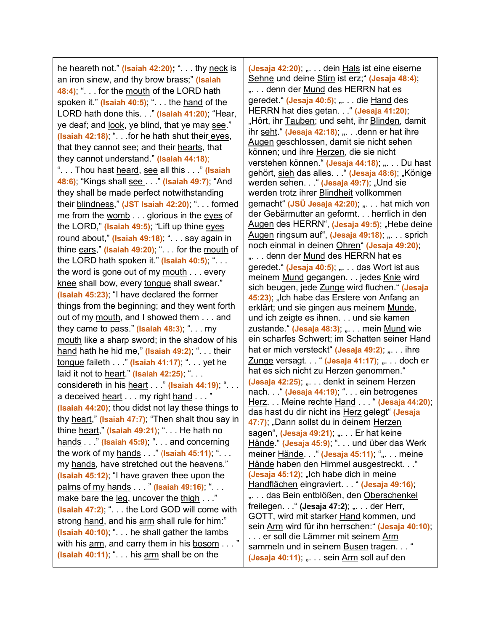he heareth not." **(Isaiah 42:20);** ". . . thy neck is an iron sinew, and thy brow brass;" **(Isaiah 48:4)**; ". . . for the mouth of the LORD hath spoken it." **(Isaiah 40:5)**; ". . . the hand of the LORD hath done this. . ." **(Isaiah 41:20)**; "Hear, ye deaf; and look, ye blind, that ye may see." **(Isaiah 42:18)**; ". . .for he hath shut their eyes, that they cannot see; and their hearts, that they cannot understand." **(Isaiah 44:18)**; ". . . Thou hast heard, see all this . . ." **(Isaiah 48:6)**; "Kings shall see . . ." **(Isaiah 49:7)**; "And they shall be made perfect notwithstanding their blindness," **(JST Isaiah 42:20)**; ". . . formed me from the womb . . . glorious in the eyes of the LORD," **(Isaiah 49:5)**; "Lift up thine eyes round about," **(Isaiah 49:18)**; ". . . say again in thine ears," **(Isaiah 49:20)**; ". . . for the mouth of the LORD hath spoken it." **(Isaiah 40:5)**; ". . . the word is gone out of my  $\frac{m \cdot m}{n \cdot n}$ ... every knee shall bow, every tongue shall swear." **(Isaiah 45:23)**; "I have declared the former things from the beginning; and they went forth out of my mouth, and I showed them . . . and they came to pass." **(Isaiah 48:3)**; ". . . my mouth like a sharp sword; in the shadow of his hand hath he hid me," **(Isaiah 49:2)**; ". . . their tongue faileth . . ." **(Isaiah 41:17)**; ". . . yet he laid it not to heart." **(Isaiah 42:25)**; ". . . considereth in his heart . . ." **(Isaiah 44:19)**; ". . . a deceived heart . . . my right hand . . . " **(Isaiah 44:20)**; thou didst not lay these things to thy heart," **(Isaiah 47:7)**; "Then shalt thou say in thine heart," **(Isaiah 49:21)**; ". . . He hath no hands . . ." **(Isaiah 45:9)**; ". . . and concerning the work of my hands . . ." (**Isaiah 45:11)**; ". . . my hands, have stretched out the heavens." **(Isaiah 45:12)**; "I have graven thee upon the palms of my hands . . . " **(Isaiah 49:16)**; ". . . make bare the leg, uncover the thigh . . ." **(Isaiah 47:2)**; ". . . the Lord GOD will come with strong hand, and his arm shall rule for him:" **(Isaiah 40:10)**; ". . . he shall gather the lambs with his arm, and carry them in his bosom . . . " **(Isaiah 40:11)**; ". . . his arm shall be on the

**(Jesaja 42:20); "... dein Hals ist eine eiserne** Sehne und deine Stirn ist erz;" **(Jesaja 48:4)**; "... denn der Mund des HERRN hat es geredet." (Jesaja 40:5); "... die Hand des HERRN hat dies getan. . ." **(Jesaja 41:20)**; "Hört, ihr Tauben; und seht, ihr Blinden, damit ihr seht." (Jesaja 42:18); " . . .denn er hat ihre Augen geschlossen, damit sie nicht sehen können; und ihre Herzen, die sie nicht verstehen können." (Jesaja 44:18); .... Du hast gehört, sieh das alles. . . " (Jesaja 48:6); "Könige werden sehen. . . " (Jesaja 49:7); "Und sie werden trotz ihrer Blindheit vollkommen gemacht" **(JSÜ Jesaja 42:20)**; ". . . hat mich von der Gebärmutter an geformt. . . herrlich in den Augen des HERRN", (Jesaja 49:5); "Hebe deine Augen ringsum auf", (Jesaja 49:18); "... sprich noch einmal in deinen Ohren" **(Jesaja 49:20)**; ". . . denn der Mund des HERRN hat es geredet." (Jesaja 40:5); ". . . das Wort ist aus meinem Mund gegangen. . . jedes Knie wird sich beugen, jede Zunge wird fluchen." **(Jesaja**  45:23); "Ich habe das Erstere von Anfang an erklärt; und sie gingen aus meinem Munde, und ich zeigte es ihnen. . . und sie kamen zustande." (Jesaja 48:3); ". . . mein Mund wie ein scharfes Schwert; im Schatten seiner Hand hat er mich versteckt" (Jesaja 49:2); "... ihre Zunge versagt. . . " (Jesaja 41:17); ". . . doch er hat es sich nicht zu Herzen genommen." **(Jesaja 42:25); ... ... denkt in seinem Herzen** nach. . " (Jesaja 44:19); ". . . ein betrogenes Herz. . . Meine rechte Hand . . . " **(Jesaja 44:20)**; das hast du dir nicht ins Herz gelegt" **(Jesaja 47:7)**; "Dann sollst du in deinem Herzen sagen", (Jesaja 49:21); ". . . Er hat keine Hände." **(Jesaja 45:9)**; ". . . und über das Werk meiner Hände. . . " (Jesaja 45:11); ",. . . meine Hände haben den Himmel ausgestreckt. . ." **(Jesaja 45:12);** "Ich habe dich in meine Handflächen eingraviert. . . " **(Jesaja 49:16)**; "... das Bein entblößen, den Oberschenkel freilegen. . . " (Jesaja 47:2); ... . der Herr, GOTT, wird mit starker Hand kommen, und sein Arm wird für ihn herrschen:" **(Jesaja 40:10)**; ... er soll die Lämmer mit seinem Arm sammeln und in seinem Busen tragen. . . " **(Jesaja 40:11)**; ". . . sein Arm soll auf den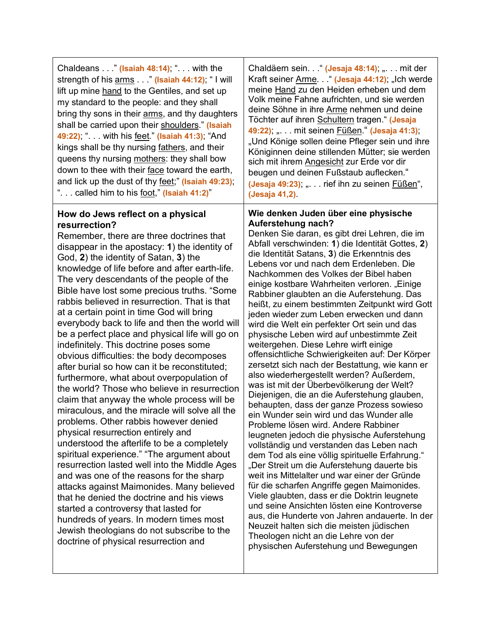| Chaldeans $\ldots$ (Isaiah 48:14); " $\ldots$ with the<br>strength of his arms " (Isaiah 44:12); "I will<br>lift up mine hand to the Gentiles, and set up<br>my standard to the people: and they shall<br>bring thy sons in their arms, and thy daughters<br>shall be carried upon their shoulders." (Isaiah<br>49:22); ". with his <u>feet.</u> " (Isaiah 41:3); "And<br>kings shall be thy nursing fathers, and their<br>queens thy nursing mothers: they shall bow<br>down to thee with their face toward the earth,<br>and lick up the dust of thy feet;" (Isaiah 49:23);<br>" called him to his foot," (Isaiah 41:2)" | Chaldäern sein. . " (Jesaja 48:14); " mit der<br>Kraft seiner Arme. . " (Jesaja 44:12); "Ich werde<br>meine Hand zu den Heiden erheben und dem<br>Volk meine Fahne aufrichten, und sie werden<br>deine Söhne in ihre Arme nehmen und deine<br>Töchter auf ihren Schultern tragen." (Jesaja<br>49:22); " mit seinen Füßen." (Jesaja 41:3);<br>"Und Könige sollen deine Pfleger sein und ihre<br>Königinnen deine stillenden Mütter; sie werden<br>sich mit ihrem Angesicht zur Erde vor dir<br>beugen und deinen Fußstaub auflecken."<br>(Jesaja 49:23); " rief ihn zu seinen Füßen",<br>(Jesaja 41,2). |
|----------------------------------------------------------------------------------------------------------------------------------------------------------------------------------------------------------------------------------------------------------------------------------------------------------------------------------------------------------------------------------------------------------------------------------------------------------------------------------------------------------------------------------------------------------------------------------------------------------------------------|--------------------------------------------------------------------------------------------------------------------------------------------------------------------------------------------------------------------------------------------------------------------------------------------------------------------------------------------------------------------------------------------------------------------------------------------------------------------------------------------------------------------------------------------------------------------------------------------------------|
|----------------------------------------------------------------------------------------------------------------------------------------------------------------------------------------------------------------------------------------------------------------------------------------------------------------------------------------------------------------------------------------------------------------------------------------------------------------------------------------------------------------------------------------------------------------------------------------------------------------------------|--------------------------------------------------------------------------------------------------------------------------------------------------------------------------------------------------------------------------------------------------------------------------------------------------------------------------------------------------------------------------------------------------------------------------------------------------------------------------------------------------------------------------------------------------------------------------------------------------------|

## **How do Jews reflect on a physical resurrection?**

Remember, there are three doctrines that disappear in the apostacy: **1**) the identity of God, **2**) the identity of Satan, **3**) the knowledge of life before and after earth-life. The very descendants of the people of the Bible have lost some precious truths. "Some rabbis believed in resurrection. That is that at a certain point in time God will bring everybody back to life and then the world will be a perfect place and physical life will go on indefinitely. This doctrine poses some obvious difficulties: the body decomposes after burial so how can it be reconstituted; furthermore, what about overpopulation of the world? Those who believe in resurrection claim that anyway the whole process will be miraculous, and the miracle will solve all the problems. Other rabbis however denied physical resurrection entirely and understood the afterlife to be a completely spiritual experience." "The argument about resurrection lasted well into the Middle Ages and was one of the reasons for the sharp attacks against Maimonides. Many believed that he denied the doctrine and his views started a controversy that lasted for hundreds of years. In modern times most Jewish theologians do not subscribe to the doctrine of physical resurrection and

## **Wie denken Juden über eine physische Auferstehung nach?**

Denken Sie daran, es gibt drei Lehren, die im Abfall verschwinden: **1**) die Identität Gottes, **2**) die Identität Satans, **3**) die Erkenntnis des Lebens vor und nach dem Erdenleben. Die Nachkommen des Volkes der Bibel haben einige kostbare Wahrheiten verloren. "Einige Rabbiner glaubten an die Auferstehung. Das heißt, zu einem bestimmten Zeitpunkt wird Gott jeden wieder zum Leben erwecken und dann wird die Welt ein perfekter Ort sein und das physische Leben wird auf unbestimmte Zeit weitergehen. Diese Lehre wirft einige offensichtliche Schwierigkeiten auf: Der Körper zersetzt sich nach der Bestattung, wie kann er also wiederhergestellt werden? Außerdem, was ist mit der Überbevölkerung der Welt? Diejenigen, die an die Auferstehung glauben, behaupten, dass der ganze Prozess sowieso ein Wunder sein wird und das Wunder alle Probleme lösen wird. Andere Rabbiner leugneten jedoch die physische Auferstehung vollständig und verstanden das Leben nach dem Tod als eine völlig spirituelle Erfahrung." Der Streit um die Auferstehung dauerte bis weit ins Mittelalter und war einer der Gründe für die scharfen Angriffe gegen Maimonides. Viele glaubten, dass er die Doktrin leugnete und seine Ansichten lösten eine Kontroverse aus, die Hunderte von Jahren andauerte. In der Neuzeit halten sich die meisten jüdischen Theologen nicht an die Lehre von der physischen Auferstehung und Bewegungen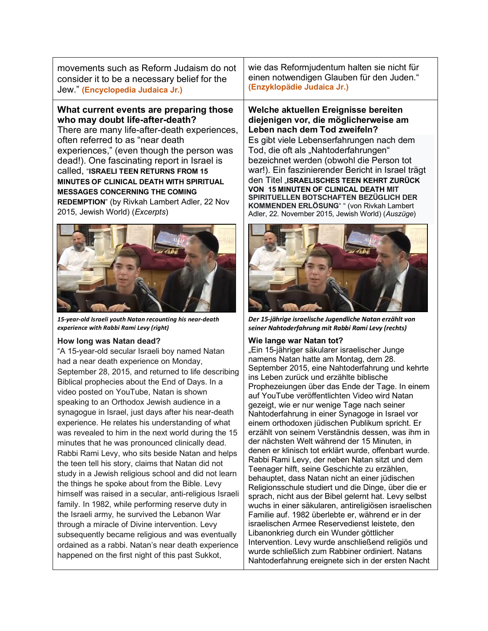movements such as Reform Judaism do not consider it to be a necessary belief for the Jew." **(Encyclopedia Judaica Jr.)**

## **What current events are preparing those who may doubt life-after-death?**

There are many life-after-death experiences, often referred to as "near death experiences," (even though the person was dead!). One fascinating report in Israel is called, "**ISRAELI TEEN RETURNS FROM 15 MINUTES OF CLINICAL DEATH WITH SPIRITUAL MESSAGES CONCERNING THE COMING REDEMPTION**" [\(by Rivkah](file://EgnyteDrive/israelonline/Shared/Documents/DOCS/Come%20Follow%20Me%20Lessons%20-%202021%20-%20D&C/Rivkah%20Lambert%20Adler) Lambert Adler, 22 Nov 2015, [Jewish](https://www.israel365news.com/category/jewish-world/) World) (*Excerpts*)



*15-year-old Israeli youth Natan recounting his near-death experience with Rabbi Rami Levy (right)*

#### **How long was Natan dead?**

"A 15-year-old secular Israeli boy named Natan had a near death experience on Monday, September 28, 2015, and returned to life describing Biblical prophecies about the End of Days. In a video posted on YouTube, Natan is shown speaking to an Orthodox Jewish audience in a synagogue in Israel, just days after his near-death experience. He relates his understanding of what was revealed to him in the next world during the 15 minutes that he was pronounced clinically dead. Rabbi Rami Levy, who sits beside Natan and helps the teen tell his story, claims that Natan did not study in a Jewish religious school and did not learn the things he spoke about from the Bible. Levy himself was raised in a secular, anti-religious Israeli family. In 1982, while performing reserve duty in the Israeli army, he survived the Lebanon War through a miracle of Divine intervention. Levy subsequently became religious and was eventually ordained as a rabbi. Natan's near death experience happened on the first night of this past Sukkot,

wie das Reformjudentum halten sie nicht für einen notwendigen Glauben für den Juden." **(Enzyklopädie Judaica Jr.)**

**Welche aktuellen Ereignisse bereiten diejenigen vor, die möglicherweise am Leben nach dem Tod zweifeln?** Es gibt viele Lebenserfahrungen nach dem Tod, die oft als "Nahtoderfahrungen" bezeichnet werden (obwohl die Person tot war!). Ein faszinierender Bericht in Israel trägt den Titel "**ISRAELISCHES TEEN KEHRT ZURÜCK VON 15 MINUTEN OF CLINICAL DEATH MIT SPIRITUELLEN BOTSCHAFTEN BEZÜGLICH DER KOMMENDEN ERLÖSUNG**" " (von Rivkah Lambert Adler, 22. November 2015, Jewish World) (*Auszüge*)



*Der 15-jährige israelische Jugendliche Natan erzählt von seiner Nahtoderfahrung mit Rabbi Rami Levy (rechts)*

#### **Wie lange war Natan tot?**

"Ein 15-jähriger säkularer israelischer Junge namens Natan hatte am Montag, dem 28. September 2015, eine Nahtoderfahrung und kehrte ins Leben zurück und erzählte biblische Prophezeiungen über das Ende der Tage. In einem auf YouTube veröffentlichten Video wird Natan gezeigt, wie er nur wenige Tage nach seiner Nahtoderfahrung in einer Synagoge in Israel vor einem orthodoxen jüdischen Publikum spricht. Er erzählt von seinem Verständnis dessen, was ihm in der nächsten Welt während der 15 Minuten, in denen er klinisch tot erklärt wurde, offenbart wurde. Rabbi Rami Levy, der neben Natan sitzt und dem Teenager hilft, seine Geschichte zu erzählen, behauptet, dass Natan nicht an einer jüdischen Religionsschule studiert und die Dinge, über die er sprach, nicht aus der Bibel gelernt hat. Levy selbst wuchs in einer säkularen, antireligiösen israelischen Familie auf. 1982 überlebte er, während er in der israelischen Armee Reservedienst leistete, den Libanonkrieg durch ein Wunder göttlicher Intervention. Levy wurde anschließend religiös und wurde schließlich zum Rabbiner ordiniert. Natans Nahtoderfahrung ereignete sich in der ersten Nacht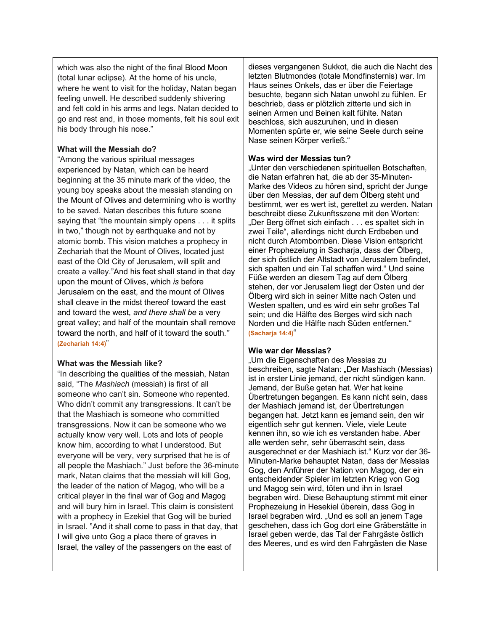which was also the night of the final Blood Moon (total lunar eclipse). At the home of his uncle, where he went to visit for the holiday, Natan began feeling unwell. He described suddenly shivering and felt cold in his arms and legs. Natan decided to go and rest and, in those moments, felt his soul exit his body through his nose."

### **What will the Messiah do?**

"Among the various spiritual messages experienced by Natan, which can be heard beginning at the 35 minute mark of the video, the young boy speaks about the messiah standing on the Mount of Olives and determining who is worthy to be saved. Natan describes this future scene saying that "the mountain simply opens . . . it splits in two," though not by earthquake and not by atomic bomb. This vision matches a prophecy in Zechariah that the Mount of Olives, located just east of the Old City of Jerusalem, will split and create a valley."And his feet shall stand in that day upon the mount of Olives, which *is* before Jerusalem on the east, and the mount of Olives shall cleave in the midst thereof toward the east and toward the west, *and there shall be* a very great valley; and half of the mountain shall remove toward the north, and half of it toward the south.*"* **(Zechariah 14:4)**"

#### **What was the Messiah like?**

"In describing the qualities of the messiah, Natan said, "The *Mashiach* (messiah) is first of all someone who can't sin. Someone who repented. Who didn't commit any transgressions. It can't be that the Mashiach is someone who committed transgressions. Now it can be someone who we actually know very well. Lots and lots of people know him, according to what I understood. But everyone will be very, very surprised that he is of all people the Mashiach." Just before the 36-minute mark, Natan claims that the messiah will kill Gog, the leader of the nation of Magog, who will be a critical player in the final war of Gog and Magog and will bury him in Israel. This claim is consistent with a prophecy in Ezekiel that Gog will be buried in Israel. "And it shall come to pass in that day, that I will give unto Gog a place there of graves in Israel, the valley of the passengers on the east of

dieses vergangenen Sukkot, die auch die Nacht des letzten Blutmondes (totale Mondfinsternis) war. Im Haus seines Onkels, das er über die Feiertage besuchte, begann sich Natan unwohl zu fühlen. Er beschrieb, dass er plötzlich zitterte und sich in seinen Armen und Beinen kalt fühlte. Natan beschloss, sich auszuruhen, und in diesen Momenten spürte er, wie seine Seele durch seine Nase seinen Körper verließ."

### **Was wird der Messias tun?**

"Unter den verschiedenen spirituellen Botschaften, die Natan erfahren hat, die ab der 35-Minuten-Marke des Videos zu hören sind, spricht der Junge über den Messias, der auf dem Ölberg steht und bestimmt, wer es wert ist, gerettet zu werden. Natan beschreibt diese Zukunftsszene mit den Worten: "Der Berg öffnet sich einfach . . . es spaltet sich in zwei Teile", allerdings nicht durch Erdbeben und nicht durch Atombomben. Diese Vision entspricht einer Prophezeiung in Sacharja, dass der Ölberg, der sich östlich der Altstadt von Jerusalem befindet, sich spalten und ein Tal schaffen wird." Und seine Füße werden an diesem Tag auf dem Ölberg stehen, der vor Jerusalem liegt der Osten und der Ölberg wird sich in seiner Mitte nach Osten und Westen spalten, und es wird ein sehr großes Tal sein; und die Hälfte des Berges wird sich nach Norden und die Hälfte nach Süden entfernen." **(Sacharja 14:4)**"

## **Wie war der Messias?**

"Um die Eigenschaften des Messias zu beschreiben, sagte Natan: "Der Mashiach (Messias) ist in erster Linie jemand, der nicht sündigen kann. Jemand, der Buße getan hat. Wer hat keine Übertretungen begangen. Es kann nicht sein, dass der Mashiach jemand ist, der Übertretungen begangen hat. Jetzt kann es jemand sein, den wir eigentlich sehr gut kennen. Viele, viele Leute kennen ihn, so wie ich es verstanden habe. Aber alle werden sehr, sehr überrascht sein, dass ausgerechnet er der Mashiach ist." Kurz vor der 36- Minuten-Marke behauptet Natan, dass der Messias Gog, den Anführer der Nation von Magog, der ein entscheidender Spieler im letzten Krieg von Gog und Magog sein wird, töten und ihn in Israel begraben wird. Diese Behauptung stimmt mit einer Prophezeiung in Hesekiel überein, dass Gog in Israel begraben wird. "Und es soll an jenem Tage geschehen, dass ich Gog dort eine Gräberstätte in Israel geben werde, das Tal der Fahrgäste östlich des Meeres, und es wird den Fahrgästen die Nase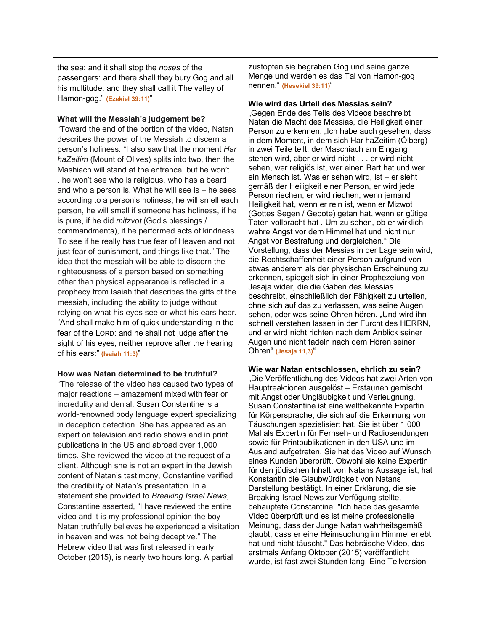the sea: and it shall stop the *noses* of the passengers: and there shall they bury Gog and all his multitude: and they shall call it The valley of Hamon-gog." **(Ezekiel 39:11)**"

#### **What will the Messiah's judgement be?**

"Toward the end of the portion of the video, Natan describes the power of the Messiah to discern a person's holiness. "I also saw that the moment *Har haZeitim* (Mount of Olives) splits into two, then the Mashiach will stand at the entrance, but he won't . . . he won't see who is religious, who has a beard and who a person is. What he will see is – he sees according to a person's holiness, he will smell each person, he will smell if someone has holiness, if he is pure, if he did *mitzvot* (God's blessings / commandments), if he performed acts of kindness. To see if he really has true fear of Heaven and not just fear of punishment, and things like that." The idea that the messiah will be able to discern the righteousness of a person based on something other than physical appearance is reflected in a prophecy from Isaiah that describes the gifts of the messiah, including the ability to judge without relying on what his eyes see or what his ears hear. "And shall make him of quick understanding in the fear of the LORD: and he shall not judge after the sight of his eyes, neither reprove after the hearing of his ears:" **(Isaiah 11:3)**"

#### **How was Natan determined to be truthful?**

"The release of the video has caused two types of major reactions – amazement mixed with fear or incredulity and denial. Susan Constantine is a world-renowned body language expert specializing in deception detection. She has appeared as an expert on television and radio shows and in print publications in the US and abroad over 1,000 times. She reviewed the video at the request of a client. Although she is not an expert in the Jewish content of Natan's testimony, Constantine verified the credibility of Natan's presentation. In a statement she provided to *Breaking Israel News*, Constantine asserted, "I have reviewed the entire video and it is my professional opinion the boy Natan truthfully believes he experienced a visitation in heaven and was not being deceptive." The Hebrew video that was first released in early October (2015), is nearly two hours long. A partial

zustopfen sie begraben Gog und seine ganze Menge und werden es das Tal von Hamon-gog nennen." **(Hesekiel 39:11)**"

#### **Wie wird das Urteil des Messias sein?**

"Gegen Ende des Teils des Videos beschreibt Natan die Macht des Messias, die Heiligkeit einer Person zu erkennen. "Ich habe auch gesehen, dass in dem Moment, in dem sich Har haZeitim (Ölberg) in zwei Teile teilt, der Maschiach am Eingang stehen wird, aber er wird nicht . . . er wird nicht sehen, wer religiös ist, wer einen Bart hat und wer ein Mensch ist. Was er sehen wird, ist – er sieht gemäß der Heiligkeit einer Person, er wird jede Person riechen, er wird riechen, wenn jemand Heiligkeit hat, wenn er rein ist, wenn er Mizwot (Gottes Segen / Gebote) getan hat, wenn er gütige Taten vollbracht hat . Um zu sehen, ob er wirklich wahre Angst vor dem Himmel hat und nicht nur Angst vor Bestrafung und dergleichen." Die Vorstellung, dass der Messias in der Lage sein wird, die Rechtschaffenheit einer Person aufgrund von etwas anderem als der physischen Erscheinung zu erkennen, spiegelt sich in einer Prophezeiung von Jesaja wider, die die Gaben des Messias beschreibt, einschließlich der Fähigkeit zu urteilen, ohne sich auf das zu verlassen, was seine Augen sehen, oder was seine Ohren hören. "Und wird ihn schnell verstehen lassen in der Furcht des HERRN, und er wird nicht richten nach dem Anblick seiner Augen und nicht tadeln nach dem Hören seiner Ohren" **(Jesaja 11,3)**"

**Wie war Natan entschlossen, ehrlich zu sein?** "Die Veröffentlichung des Videos hat zwei Arten von Hauptreaktionen ausgelöst – Erstaunen gemischt mit Angst oder Ungläubigkeit und Verleugnung. Susan Constantine ist eine weltbekannte Expertin für Körpersprache, die sich auf die Erkennung von Täuschungen spezialisiert hat. Sie ist über 1.000 Mal als Expertin für Fernseh- und Radiosendungen sowie für Printpublikationen in den USA und im Ausland aufgetreten. Sie hat das Video auf Wunsch eines Kunden überprüft. Obwohl sie keine Expertin für den jüdischen Inhalt von Natans Aussage ist, hat Konstantin die Glaubwürdigkeit von Natans Darstellung bestätigt. In einer Erklärung, die sie Breaking Israel News zur Verfügung stellte, behauptete Constantine: "Ich habe das gesamte Video überprüft und es ist meine professionelle Meinung, dass der Junge Natan wahrheitsgemäß glaubt, dass er eine Heimsuchung im Himmel erlebt hat und nicht täuscht." Das hebräische Video, das erstmals Anfang Oktober (2015) veröffentlicht wurde, ist fast zwei Stunden lang. Eine Teilversion